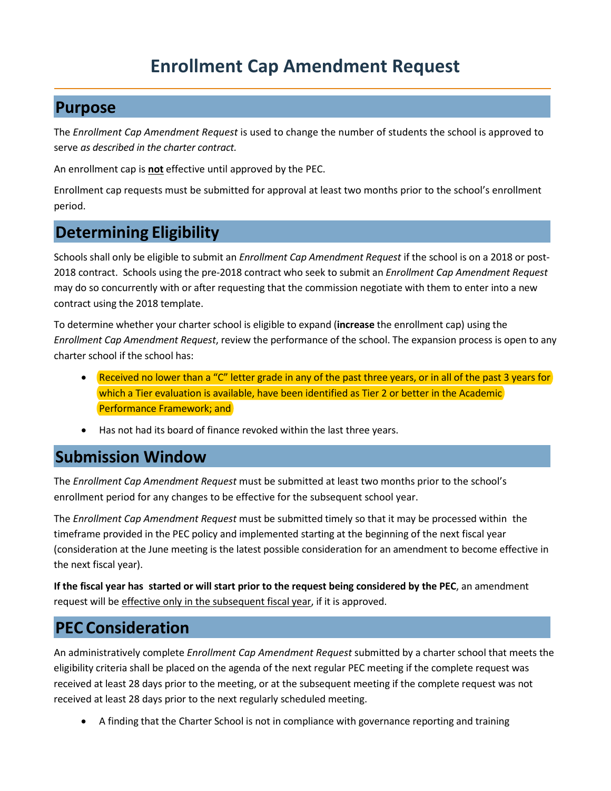# **Enrollment Cap Amendment Request**

### **Purpose**

The *Enrollment Cap Amendment Request* is used to change the number of students the school is approved to serve *as described in the charter contract.*

An enrollment cap is **not** effective until approved by the PEC.

Enrollment cap requests must be submitted for approval at least two months prior to the school's enrollment period.

## **Determining Eligibility**

Schools shall only be eligible to submit an *Enrollment Cap Amendment Request* if the school is on a 2018 or post-2018 contract. Schools using the pre-2018 contract who seek to submit an *Enrollment Cap Amendment Request* may do so concurrently with or after requesting that the commission negotiate with them to enter into a new contract using the 2018 template.

To determine whether your charter school is eligible to expand (**increase** the enrollment cap) using the *Enrollment Cap Amendment Request*, review the performance of the school. The expansion process is open to any charter school if the school has:

- Received no lower than a "C" letter grade in any of the past three years, or in all of the past 3 years for which a Tier evaluation is available, have been identified as Tier 2 or better in the Academic Performance Framework; and
- Has not had its board of finance revoked within the last three years.

## **Submission Window**

The *Enrollment Cap Amendment Request* must be submitted at least two months prior to the school's enrollment period for any changes to be effective for the subsequent school year.

The *Enrollment Cap Amendment Request* must be submitted timely so that it may be processed within the timeframe provided in the PEC policy and implemented starting at the beginning of the next fiscal year (consideration at the June meeting is the latest possible consideration for an amendment to become effective in the next fiscal year).

If the fiscal year has started or will start prior to the request being considered by the PEC, an amendment request will be effective only in the subsequent fiscal year, if it is approved.

## **PEC Consideration**

An administratively complete *Enrollment Cap Amendment Request* submitted by a charter school that meets the eligibility criteria shall be placed on the agenda of the next regular PEC meeting if the complete request was received at least 28 days prior to the meeting, or at the subsequent meeting if the complete request was not received at least 28 days prior to the next regularly scheduled meeting.

• A finding that the Charter School is not in compliance with governance reporting and training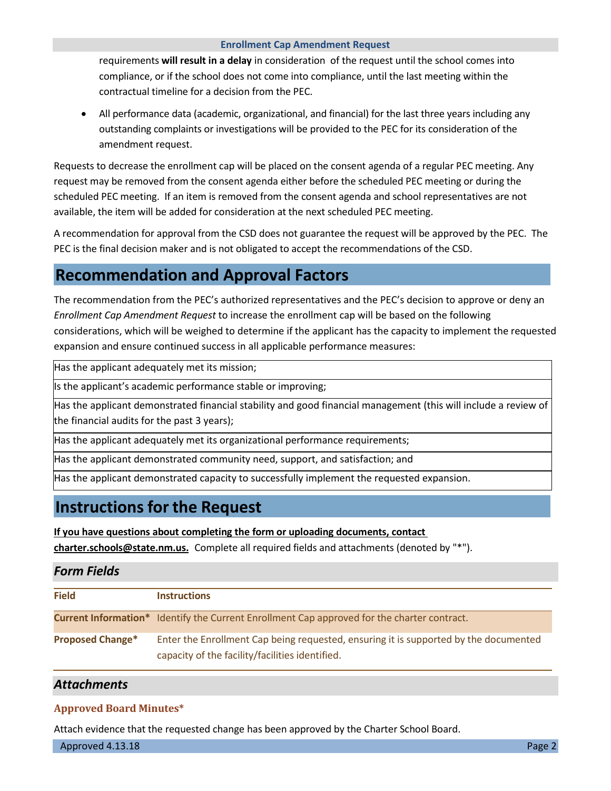### **Enrollment Cap Amendment Request**

requirements **will result in a delay** in consideration of the request until the school comes into compliance, or if the school does not come into compliance, until the last meeting within the contractual timeline for a decision from the PEC.

• All performance data (academic, organizational, and financial) for the last three years including any outstanding complaints or investigations will be provided to the PEC for its consideration of the amendment request.

Requests to decrease the enrollment cap will be placed on the consent agenda of a regular PEC meeting. Any request may be removed from the consent agenda either before the scheduled PEC meeting or during the scheduled PEC meeting. If an item is removed from the consent agenda and school representatives are not available, the item will be added for consideration at the next scheduled PEC meeting.

A recommendation for approval from the CSD does not guarantee the request will be approved by the PEC. The PEC is the final decision maker and is not obligated to accept the recommendations of the CSD.

## **Recommendation and Approval Factors**

The recommendation from the PEC's authorized representatives and the PEC's decision to approve or deny an *Enrollment Cap Amendment Request* to increase the enrollment cap will be based on the following considerations, which will be weighed to determine if the applicant has the capacity to implement the requested expansion and ensure continued success in all applicable performance measures:

Has the applicant adequately met its mission;

Is the applicant's academic performance stable or improving;

Has the applicant demonstrated financial stability and good financial management (this will include a review of the financial audits for the past 3 years);

Has the applicant adequately met its organizational performance requirements;

Has the applicant demonstrated community need, support, and satisfaction; and

Has the applicant demonstrated capacity to successfully implement the requested expansion.

## **Instructions for the Request**

**If you have questions about completing the form or uploading documents, contact** 

**charter.schools@state.nm.us.** Complete all required fields and attachments (denoted by "\*").

### *Form Fields*

| <b>Field</b>            | <b>Instructions</b>                                                                                                                     |
|-------------------------|-----------------------------------------------------------------------------------------------------------------------------------------|
|                         | <b>Current Information*</b> Identify the Current Enrollment Cap approved for the charter contract.                                      |
| <b>Proposed Change*</b> | Enter the Enrollment Cap being requested, ensuring it is supported by the documented<br>capacity of the facility/facilities identified. |

### *Attachments*

### **Approved Board Minutes\***

Attach evidence that the requested change has been approved by the Charter School Board.

Approved 4.13.18 Page 2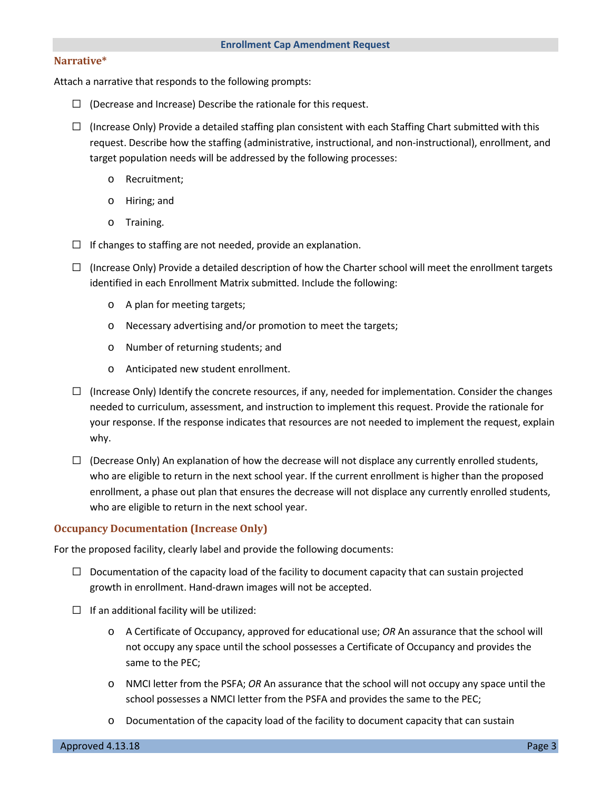#### **Narrative\***

Attach a narrative that responds to the following prompts:

- $\square$  (Decrease and Increase) Describe the rationale for this request.
- $\Box$  (Increase Only) Provide a detailed staffing plan consistent with each Staffing Chart submitted with this request. Describe how the staffing (administrative, instructional, and non-instructional), enrollment, and target population needs will be addressed by the following processes:
	- o Recruitment;
	- o Hiring; and
	- o Training.
- $\Box$  If changes to staffing are not needed, provide an explanation.
- $\Box$  (Increase Only) Provide a detailed description of how the Charter school will meet the enrollment targets identified in each Enrollment Matrix submitted. Include the following:
	- o A plan for meeting targets;
	- o Necessary advertising and/or promotion to meet the targets;
	- o Number of returning students; and
	- o Anticipated new student enrollment.
- $\Box$  (Increase Only) Identify the concrete resources, if any, needed for implementation. Consider the changes needed to curriculum, assessment, and instruction to implement this request. Provide the rationale for your response. If the response indicates that resources are not needed to implement the request, explain why.
- $\Box$  (Decrease Only) An explanation of how the decrease will not displace any currently enrolled students, who are eligible to return in the next school year. If the current enrollment is higher than the proposed enrollment, a phase out plan that ensures the decrease will not displace any currently enrolled students, who are eligible to return in the next school year.

#### **Occupancy Documentation (Increase Only)**

For the proposed facility, clearly label and provide the following documents:

- $\Box$  Documentation of the capacity load of the facility to document capacity that can sustain projected growth in enrollment. Hand-drawn images will not be accepted.
- $\square$  If an additional facility will be utilized:
	- o A Certificate of Occupancy, approved for educational use; *OR* An assurance that the school will not occupy any space until the school possesses a Certificate of Occupancy and provides the same to the PEC;
	- o NMCI letter from the PSFA; *OR* An assurance that the school will not occupy any space until the school possesses a NMCI letter from the PSFA and provides the same to the PEC;
	- o Documentation of the capacity load of the facility to document capacity that can sustain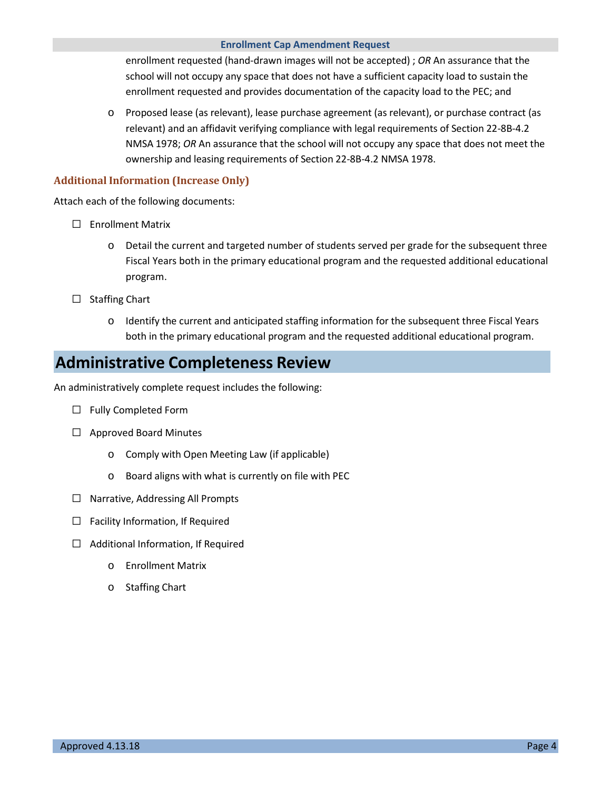#### **Enrollment Cap Amendment Request**

enrollment requested (hand-drawn images will not be accepted) ; *OR* An assurance that the school will not occupy any space that does not have a sufficient capacity load to sustain the enrollment requested and provides documentation of the capacity load to the PEC; and

o Proposed lease (as relevant), lease purchase agreement (as relevant), or purchase contract (as relevant) and an affidavit verifying compliance with legal requirements of Section 22-8B-4.2 NMSA 1978; *OR* An assurance that the school will not occupy any space that does not meet the ownership and leasing requirements of Section 22-8B-4.2 NMSA 1978.

### **Additional Information (Increase Only)**

Attach each of the following documents:

- □ Enrollment Matrix
	- o Detail the current and targeted number of students served per grade for the subsequent three Fiscal Years both in the primary educational program and the requested additional educational program.
- □ Staffing Chart
	- o Identify the current and anticipated staffing information for the subsequent three Fiscal Years both in the primary educational program and the requested additional educational program.

## **Administrative Completeness Review**

An administratively complete request includes the following:

- □ Fully Completed Form
- □ Approved Board Minutes
	- o Comply with Open Meeting Law (if applicable)
	- o Board aligns with what is currently on file with PEC
- □ Narrative, Addressing All Prompts
- $\square$  Facility Information, If Required
- □ Additional Information, If Required
	- o Enrollment Matrix
	- o Staffing Chart